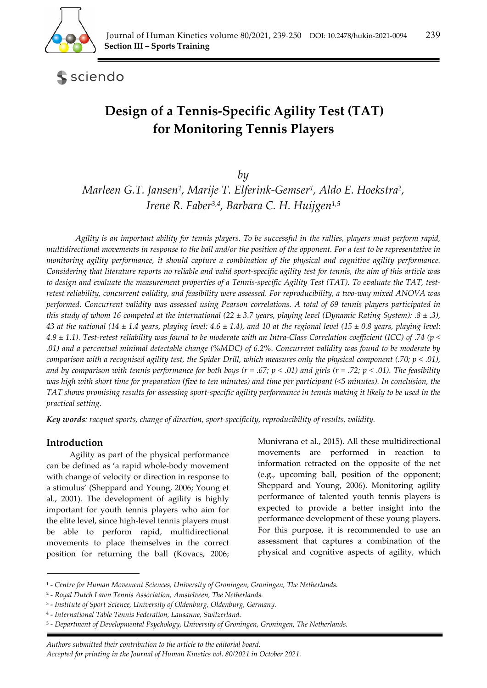

sciendo

# **Design of a Tennis-Specific Agility Test (TAT) for Monitoring Tennis Players**

*by* 

*Marleen G.T. Jansen1, Marije T. Elferink-Gemser1, Aldo E. Hoekstra2, Irene R. Faber3,4, Barbara C. H. Huijgen1,5*

*Agility is an important ability for tennis players. To be successful in the rallies, players must perform rapid, multidirectional movements in response to the ball and/or the position of the opponent. For a test to be representative in monitoring agility performance, it should capture a combination of the physical and cognitive agility performance. Considering that literature reports no reliable and valid sport-specific agility test for tennis, the aim of this article was to design and evaluate the measurement properties of a Tennis-specific Agility Test (TAT). To evaluate the TAT, testretest reliability, concurrent validity, and feasibility were assessed. For reproducibility, a two-way mixed ANOVA was performed. Concurrent validity was assessed using Pearson correlations. A total of 69 tennis players participated in this study of whom 16 competed at the international (22 ± 3.7 years, playing level (Dynamic Rating System): .8 ± .3),*  43 at the national (14  $\pm$  1.4 years, playing level: 4.6  $\pm$  1.4), and 10 at the regional level (15  $\pm$  0.8 years, playing level: *4.9 ± 1.1). Test-retest reliability was found to be moderate with an Intra-Class Correlation coefficient (ICC) of .74 (p < .01) and a percentual minimal detectable change (%MDC) of 6.2%. Concurrent validity was found to be moderate by comparison with a recognised agility test, the Spider Drill, which measures only the physical component (.70; p < .01), and by comparison with tennis performance for both boys (r = .67; p < .01) and girls (r = .72; p < .01). The feasibility was high with short time for preparation (five to ten minutes) and time per participant (<5 minutes). In conclusion, the TAT shows promising results for assessing sport-specific agility performance in tennis making it likely to be used in the practical setting.* 

*Key words: racquet sports, change of direction, sport-specificity, reproducibility of results, validity.* 

# **Introduction**

Agility as part of the physical performance can be defined as 'a rapid whole-body movement with change of velocity or direction in response to a stimulus' (Sheppard and Young, 2006; Young et al., 2001). The development of agility is highly important for youth tennis players who aim for the elite level, since high-level tennis players must be able to perform rapid, multidirectional movements to place themselves in the correct position for returning the ball (Kovacs, 2006;

Munivrana et al., 2015). All these multidirectional movements are performed in reaction to information retracted on the opposite of the net (e.g., upcoming ball, position of the opponent; Sheppard and Young, 2006). Monitoring agility performance of talented youth tennis players is expected to provide a better insight into the performance development of these young players. For this purpose, it is recommended to use an assessment that captures a combination of the physical and cognitive aspects of agility, which

*Authors submitted their contribution to the article to the editorial board.* 

*Accepted for printing in the Journal of Human Kinetics vol. 80/2021 in October 2021.* 

<sup>1 -</sup> *Centre for Human Movement Sciences, University of Groningen, Groningen, The Netherlands.* 

<sup>2 -</sup> *Royal Dutch Lawn Tennis Association, Amstelveen, The Netherlands.* 

<sup>3 -</sup> *Institute of Sport Science, University of Oldenburg, Oldenburg, Germany.* 

<sup>4 -</sup> *International Table Tennis Federation, Lausanne, Switzerland.* 

<sup>5 -</sup> *Department of Developmental Psychology, University of Groningen, Groningen, The Netherlands.*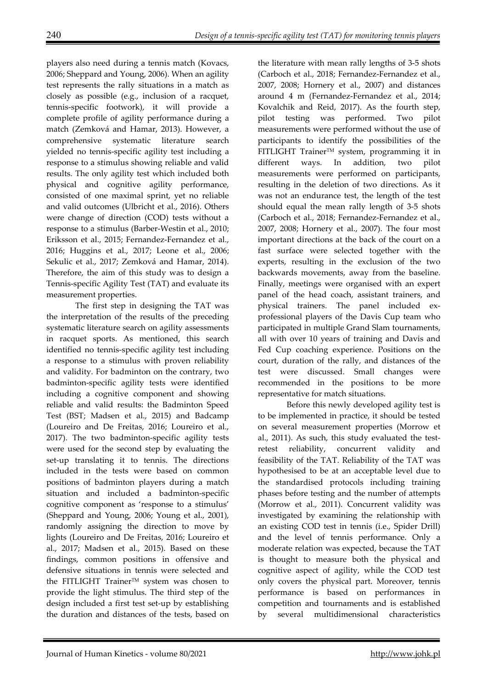players also need during a tennis match (Kovacs, 2006; Sheppard and Young, 2006). When an agility test represents the rally situations in a match as closely as possible (e.g., inclusion of a racquet, tennis-specific footwork), it will provide a complete profile of agility performance during a match (Zemková and Hamar, 2013). However, a comprehensive systematic literature search yielded no tennis-specific agility test including a response to a stimulus showing reliable and valid results. The only agility test which included both physical and cognitive agility performance, consisted of one maximal sprint, yet no reliable and valid outcomes (Ulbricht et al., 2016). Others were change of direction (COD) tests without a response to a stimulus (Barber-Westin et al., 2010; Eriksson et al., 2015; Fernandez-Fernandez et al., 2016; Huggins et al., 2017; Leone et al., 2006; Sekulic et al., 2017; Zemková and Hamar, 2014). Therefore, the aim of this study was to design a Tennis-specific Agility Test (TAT) and evaluate its measurement properties.

 The first step in designing the TAT was the interpretation of the results of the preceding systematic literature search on agility assessments in racquet sports. As mentioned, this search identified no tennis-specific agility test including a response to a stimulus with proven reliability and validity. For badminton on the contrary, two badminton-specific agility tests were identified including a cognitive component and showing reliable and valid results: the Badminton Speed Test (BST; Madsen et al., 2015) and Badcamp (Loureiro and De Freitas, 2016; Loureiro et al., 2017). The two badminton-specific agility tests were used for the second step by evaluating the set-up translating it to tennis. The directions included in the tests were based on common positions of badminton players during a match situation and included a badminton-specific cognitive component as 'response to a stimulus' (Sheppard and Young, 2006; Young et al., 2001), randomly assigning the direction to move by lights (Loureiro and De Freitas, 2016; Loureiro et al., 2017; Madsen et al., 2015). Based on these findings, common positions in offensive and defensive situations in tennis were selected and the FITLIGHT Trainer<sup>™</sup> system was chosen to provide the light stimulus. The third step of the design included a first test set-up by establishing the duration and distances of the tests, based on

the literature with mean rally lengths of 3-5 shots (Carboch et al., 2018; Fernandez-Fernandez et al., 2007, 2008; Hornery et al., 2007) and distances around 4 m (Fernandez-Fernandez et al., 2014; Kovalchik and Reid, 2017). As the fourth step, pilot testing was performed. Two pilot measurements were performed without the use of participants to identify the possibilities of the FITLIGHT TrainerTM system, programming it in different ways. In addition, two pilot measurements were performed on participants, resulting in the deletion of two directions. As it was not an endurance test, the length of the test should equal the mean rally length of 3-5 shots (Carboch et al., 2018; Fernandez-Fernandez et al., 2007, 2008; Hornery et al., 2007). The four most important directions at the back of the court on a fast surface were selected together with the experts, resulting in the exclusion of the two backwards movements, away from the baseline. Finally, meetings were organised with an expert panel of the head coach, assistant trainers, and physical trainers. The panel included exprofessional players of the Davis Cup team who participated in multiple Grand Slam tournaments, all with over 10 years of training and Davis and Fed Cup coaching experience. Positions on the court, duration of the rally, and distances of the test were discussed. Small changes were recommended in the positions to be more representative for match situations.

 Before this newly developed agility test is to be implemented in practice, it should be tested on several measurement properties (Morrow et al., 2011). As such, this study evaluated the testretest reliability, concurrent validity and feasibility of the TAT. Reliability of the TAT was hypothesised to be at an acceptable level due to the standardised protocols including training phases before testing and the number of attempts (Morrow et al., 2011). Concurrent validity was investigated by examining the relationship with an existing COD test in tennis (i.e., Spider Drill) and the level of tennis performance. Only a moderate relation was expected, because the TAT is thought to measure both the physical and cognitive aspect of agility, while the COD test only covers the physical part. Moreover, tennis performance is based on performances in competition and tournaments and is established by several multidimensional characteristics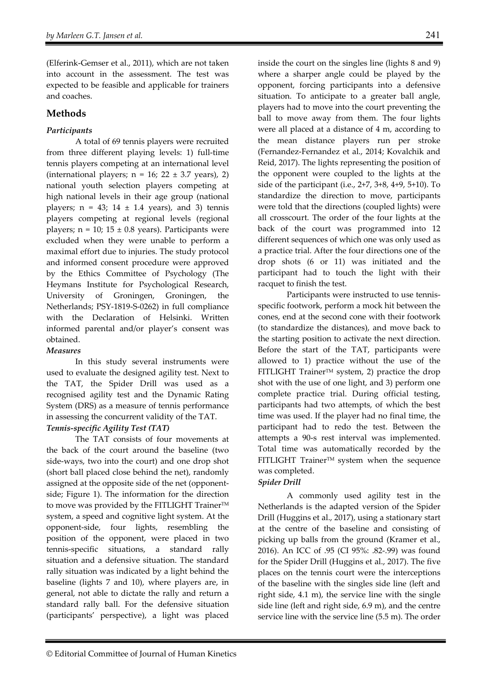(Elferink-Gemser et al., 2011), which are not taken into account in the assessment. The test was expected to be feasible and applicable for trainers and coaches.

# **Methods**

# *Participants*

 A total of 69 tennis players were recruited from three different playing levels: 1) full-time tennis players competing at an international level (international players;  $n = 16$ ;  $22 \pm 3.7$  years), 2) national youth selection players competing at high national levels in their age group (national players;  $n = 43$ ;  $14 \pm 1.4$  years), and 3) tennis players competing at regional levels (regional players;  $n = 10$ ;  $15 \pm 0.8$  years). Participants were excluded when they were unable to perform a maximal effort due to injuries. The study protocol and informed consent procedure were approved by the Ethics Committee of Psychology (The Heymans Institute for Psychological Research, University of Groningen, Groningen, the Netherlands; PSY-1819-S-0262) in full compliance with the Declaration of Helsinki. Written informed parental and/or player's consent was obtained.

## *Measures*

 In this study several instruments were used to evaluate the designed agility test. Next to the TAT, the Spider Drill was used as a recognised agility test and the Dynamic Rating System (DRS) as a measure of tennis performance in assessing the concurrent validity of the TAT.

# *Tennis-specific Agility Test (TAT)*

 The TAT consists of four movements at the back of the court around the baseline (two side-ways, two into the court) and one drop shot (short ball placed close behind the net), randomly assigned at the opposite side of the net (opponentside; Figure 1). The information for the direction to move was provided by the FITLIGHT Trainer™ system, a speed and cognitive light system. At the opponent-side, four lights, resembling the position of the opponent, were placed in two tennis-specific situations, a standard rally situation and a defensive situation. The standard rally situation was indicated by a light behind the baseline (lights 7 and 10), where players are, in general, not able to dictate the rally and return a standard rally ball. For the defensive situation (participants' perspective), a light was placed

inside the court on the singles line (lights 8 and 9) where a sharper angle could be played by the opponent, forcing participants into a defensive situation. To anticipate to a greater ball angle, players had to move into the court preventing the ball to move away from them. The four lights were all placed at a distance of 4 m, according to the mean distance players run per stroke (Fernandez-Fernandez et al., 2014; Kovalchik and Reid, 2017). The lights representing the position of the opponent were coupled to the lights at the side of the participant (i.e., 2+7, 3+8, 4+9, 5+10). To standardize the direction to move, participants were told that the directions (coupled lights) were all crosscourt. The order of the four lights at the back of the court was programmed into 12 different sequences of which one was only used as a practice trial. After the four directions one of the drop shots (6 or 11) was initiated and the participant had to touch the light with their racquet to finish the test.

 Participants were instructed to use tennisspecific footwork, perform a mock hit between the cones, end at the second cone with their footwork (to standardize the distances), and move back to the starting position to activate the next direction. Before the start of the TAT, participants were allowed to 1) practice without the use of the FITLIGHT Trainer<sup>TM</sup> system, 2) practice the drop shot with the use of one light, and 3) perform one complete practice trial. During official testing, participants had two attempts, of which the best time was used. If the player had no final time, the participant had to redo the test. Between the attempts a 90-s rest interval was implemented. Total time was automatically recorded by the FITLIGHT Trainer™ system when the sequence was completed.

## *Spider Drill*

 A commonly used agility test in the Netherlands is the adapted version of the Spider Drill (Huggins et al., 2017), using a stationary start at the centre of the baseline and consisting of picking up balls from the ground (Kramer et al., 2016). An ICC of .95 (CI 95%: .82-.99) was found for the Spider Drill (Huggins et al., 2017). The five places on the tennis court were the interceptions of the baseline with the singles side line (left and right side, 4.1 m), the service line with the single side line (left and right side, 6.9 m), and the centre service line with the service line (5.5 m). The order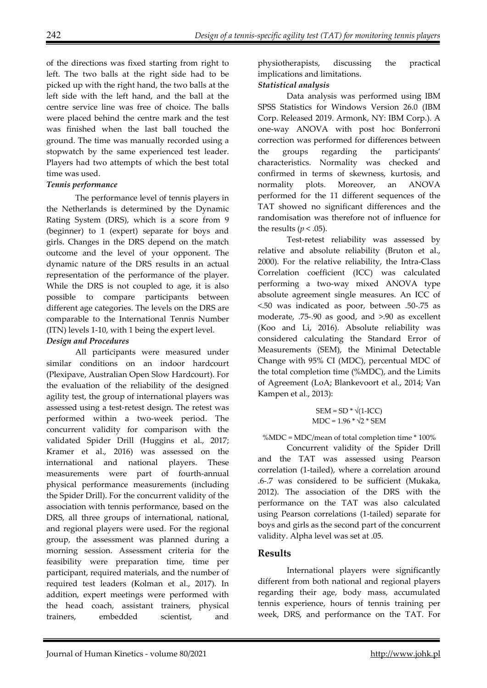of the directions was fixed starting from right to left. The two balls at the right side had to be picked up with the right hand, the two balls at the left side with the left hand, and the ball at the centre service line was free of choice. The balls were placed behind the centre mark and the test was finished when the last ball touched the ground. The time was manually recorded using a stopwatch by the same experienced test leader. Players had two attempts of which the best total time was used.

#### *Tennis performance*

 The performance level of tennis players in the Netherlands is determined by the Dynamic Rating System (DRS), which is a score from 9 (beginner) to 1 (expert) separate for boys and girls. Changes in the DRS depend on the match outcome and the level of your opponent. The dynamic nature of the DRS results in an actual representation of the performance of the player. While the DRS is not coupled to age, it is also possible to compare participants between different age categories. The levels on the DRS are comparable to the International Tennis Number (ITN) levels 1-10, with 1 being the expert level.

### *Design and Procedures*

 All participants were measured under similar conditions on an indoor hardcourt (Plexipave, Australian Open Slow Hardcourt). For the evaluation of the reliability of the designed agility test, the group of international players was assessed using a test-retest design. The retest was performed within a two-week period. The concurrent validity for comparison with the validated Spider Drill (Huggins et al., 2017; Kramer et al., 2016) was assessed on the international and national players. These measurements were part of fourth-annual physical performance measurements (including the Spider Drill). For the concurrent validity of the association with tennis performance, based on the DRS, all three groups of international, national, and regional players were used. For the regional group, the assessment was planned during a morning session. Assessment criteria for the feasibility were preparation time, time per participant, required materials, and the number of required test leaders (Kolman et al., 2017). In addition, expert meetings were performed with the head coach, assistant trainers, physical trainers, embedded scientist, and

physiotherapists, discussing the practical implications and limitations.

### *Statistical analysis*

 Data analysis was performed using IBM SPSS Statistics for Windows Version 26.0 (IBM Corp. Released 2019. Armonk, NY: IBM Corp.). A one-way ANOVA with post hoc Bonferroni correction was performed for differences between the groups regarding the participants' characteristics. Normality was checked and confirmed in terms of skewness, kurtosis, and normality plots. Moreover, an ANOVA performed for the 11 different sequences of the TAT showed no significant differences and the randomisation was therefore not of influence for the results ( $p < .05$ ).

 Test-retest reliability was assessed by relative and absolute reliability (Bruton et al., 2000). For the relative reliability, the Intra-Class Correlation coefficient (ICC) was calculated performing a two-way mixed ANOVA type absolute agreement single measures. An ICC of <.50 was indicated as poor, between .50-.75 as moderate, .75-.90 as good, and >.90 as excellent (Koo and Li, 2016). Absolute reliability was considered calculating the Standard Error of Measurements (SEM), the Minimal Detectable Change with 95% CI (MDC), percentual MDC of the total completion time (%MDC), and the Limits of Agreement (LoA; Blankevoort et al., 2014; Van Kampen et al., 2013):

$$
SEM = SD * \sqrt{(1-ICC)}
$$
  
MDC = 1.96 \*  $\sqrt{2}$  \* SEM

%MDC = MDC/mean of total completion time \* 100%

 Concurrent validity of the Spider Drill and the TAT was assessed using Pearson correlation (1-tailed), where a correlation around .6-.7 was considered to be sufficient (Mukaka, 2012). The association of the DRS with the performance on the TAT was also calculated using Pearson correlations (1-tailed) separate for boys and girls as the second part of the concurrent validity. Alpha level was set at .05.

## **Results**

 International players were significantly different from both national and regional players regarding their age, body mass, accumulated tennis experience, hours of tennis training per week, DRS, and performance on the TAT. For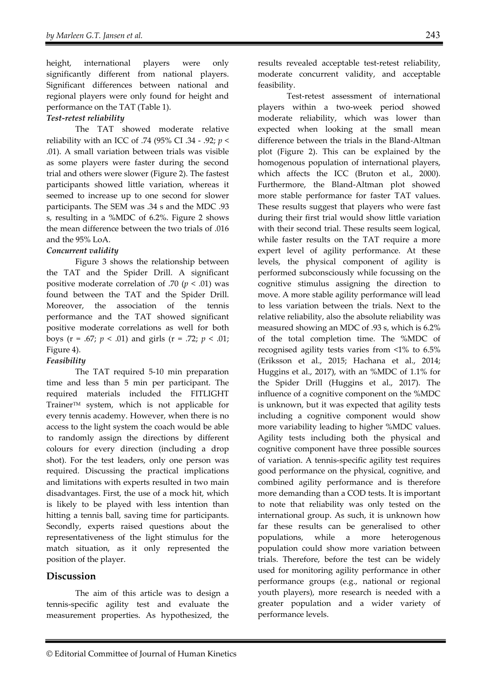height, international players were only significantly different from national players. Significant differences between national and regional players were only found for height and performance on the TAT (Table 1).

#### *Test-retest reliability*

 The TAT showed moderate relative reliability with an ICC of .74 (95% CI .34 - .92; *p* < .01). A small variation between trials was visible as some players were faster during the second trial and others were slower (Figure 2). The fastest participants showed little variation, whereas it seemed to increase up to one second for slower participants. The SEM was .34 s and the MDC .93 s, resulting in a %MDC of 6.2%. Figure 2 shows the mean difference between the two trials of .016 and the 95% LoA.

#### *Concurrent validity*

 Figure 3 shows the relationship between the TAT and the Spider Drill. A significant positive moderate correlation of .70 ( $p < .01$ ) was found between the TAT and the Spider Drill. Moreover, the association of the tennis performance and the TAT showed significant positive moderate correlations as well for both boys (r = .67; *p* < .01) and girls (r = .72; *p* < .01; Figure 4).

#### *Feasibility*

 The TAT required 5-10 min preparation time and less than 5 min per participant. The required materials included the FITLIGHT TrainerTM system, which is not applicable for every tennis academy. However, when there is no access to the light system the coach would be able to randomly assign the directions by different colours for every direction (including a drop shot). For the test leaders, only one person was required. Discussing the practical implications and limitations with experts resulted in two main disadvantages. First, the use of a mock hit, which is likely to be played with less intention than hitting a tennis ball, saving time for participants. Secondly, experts raised questions about the representativeness of the light stimulus for the match situation, as it only represented the position of the player.

# **Discussion**

The aim of this article was to design a tennis-specific agility test and evaluate the measurement properties. As hypothesized, the results revealed acceptable test-retest reliability, moderate concurrent validity, and acceptable feasibility.

 Test-retest assessment of international players within a two-week period showed moderate reliability, which was lower than expected when looking at the small mean difference between the trials in the Bland-Altman plot (Figure 2). This can be explained by the homogenous population of international players, which affects the ICC (Bruton et al., 2000). Furthermore, the Bland-Altman plot showed more stable performance for faster TAT values. These results suggest that players who were fast during their first trial would show little variation with their second trial. These results seem logical, while faster results on the TAT require a more expert level of agility performance. At these levels, the physical component of agility is performed subconsciously while focussing on the cognitive stimulus assigning the direction to move. A more stable agility performance will lead to less variation between the trials. Next to the relative reliability, also the absolute reliability was measured showing an MDC of .93 s, which is 6.2% of the total completion time. The %MDC of recognised agility tests varies from <1% to 6.5% (Eriksson et al., 2015; Hachana et al., 2014; Huggins et al., 2017), with an %MDC of 1.1% for the Spider Drill (Huggins et al., 2017). The influence of a cognitive component on the %MDC is unknown, but it was expected that agility tests including a cognitive component would show more variability leading to higher %MDC values. Agility tests including both the physical and cognitive component have three possible sources of variation. A tennis-specific agility test requires good performance on the physical, cognitive, and combined agility performance and is therefore more demanding than a COD tests. It is important to note that reliability was only tested on the international group. As such, it is unknown how far these results can be generalised to other populations, while a more heterogenous population could show more variation between trials. Therefore, before the test can be widely used for monitoring agility performance in other performance groups (e.g., national or regional youth players), more research is needed with a greater population and a wider variety of performance levels.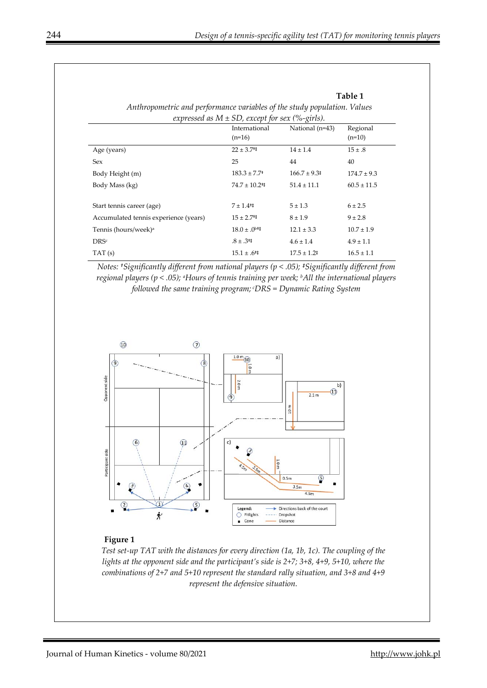**Table 1** 

| Anthropometric and performance variables of the study population. Values<br>expressed as $M \pm SD$ , except for sex (%-girls). |                                     |                           |                 |
|---------------------------------------------------------------------------------------------------------------------------------|-------------------------------------|---------------------------|-----------------|
|                                                                                                                                 |                                     |                           |                 |
| Age (years)                                                                                                                     | $22 \pm 3.7$ <sup>+1</sup>          | $14 \pm 1.4$              | $15 \pm .8$     |
| Sex                                                                                                                             | 25                                  | 44                        | 40              |
| Body Height (m)                                                                                                                 | $183.3 \pm 7.7$ <sup>+</sup>        | $166.7 \pm 9.3$           | $174.7 \pm 9.3$ |
| Body Mass (kg)                                                                                                                  | $74.7 \pm 10.2$ <sup>+‡</sup>       | $51.4 \pm 11.1$           | $60.5 \pm 11.5$ |
|                                                                                                                                 |                                     |                           |                 |
| Start tennis career (age)                                                                                                       | $7 \pm 1.4$ <sup>+1</sup>           | $5 \pm 1.3$               | $6 \pm 2.5$     |
| Accumulated tennis experience (years)                                                                                           | $15 \pm 2.7$ <sup>t‡</sup>          | $8 \pm 1.9$               | $9 \pm 2.8$     |
| Tennis (hours/week) <sup>a</sup>                                                                                                | $18.0 \pm .0^{b \ddagger \ddagger}$ | $12.1 \pm 3.3$            | $10.7 \pm 1.9$  |
| <b>DRSc</b>                                                                                                                     | $.8 \pm .3^{+1}$                    | $4.6 \pm 1.4$             | $4.9 \pm 1.1$   |
| TAT(s)                                                                                                                          | $15.1 \pm .6^{+1}$                  | $17.5 \pm 1.2^{\ddagger}$ | $16.5 \pm 1.1$  |

*Notes: †Significantly different from national players (p < .05); ‡Significantly different from regional players (p < .05); aHours of tennis training per week; bAll the international players followed the same training program; cDRS = Dynamic Rating System* 



#### **Figure 1**

*Test set-up TAT with the distances for every direction (1a, 1b, 1c). The coupling of the lights at the opponent side and the participant's side is 2+7; 3+8, 4+9, 5+10, where the combinations of 2+7 and 5+10 represent the standard rally situation, and 3+8 and 4+9 represent the defensive situation.*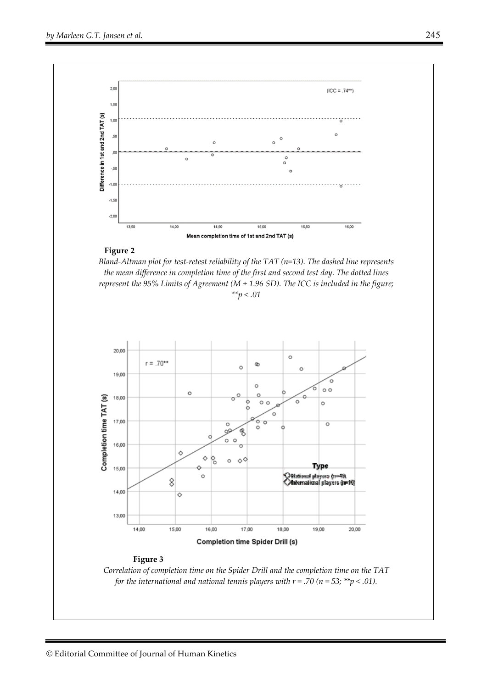

#### **Figure 2**

*Bland-Altman plot for test-retest reliability of the TAT (n=13). The dashed line represents the mean difference in completion time of the first and second test day. The dotted lines represent the 95% Limits of Agreement (M ± 1.96 SD). The ICC is included in the figure; \*\*p < .01* 



#### **Figure 3**

*Correlation of completion time on the Spider Drill and the completion time on the TAT for the international and national tennis players with*  $r = .70$  *(n = 53; \*\*p < .01).*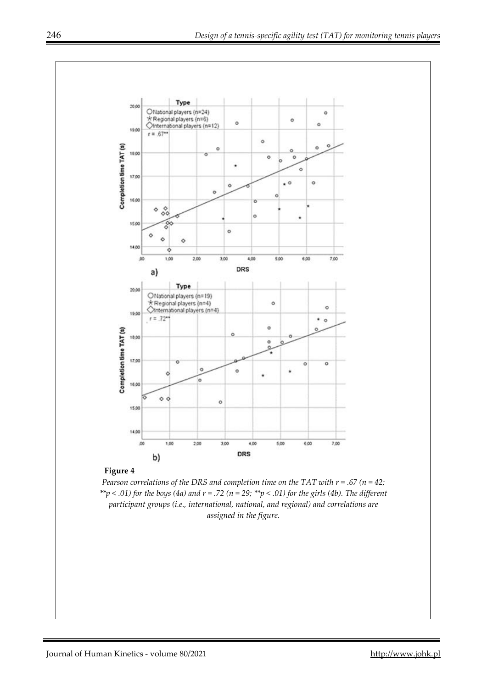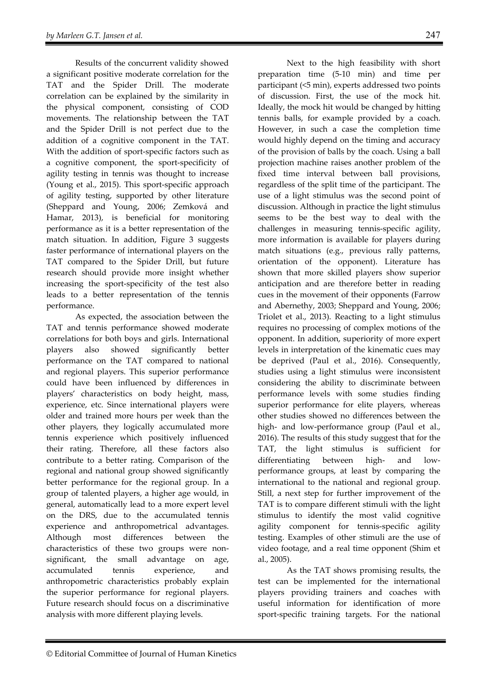Results of the concurrent validity showed a significant positive moderate correlation for the TAT and the Spider Drill. The moderate correlation can be explained by the similarity in the physical component, consisting of COD movements. The relationship between the TAT and the Spider Drill is not perfect due to the addition of a cognitive component in the TAT. With the addition of sport-specific factors such as a cognitive component, the sport-specificity of agility testing in tennis was thought to increase (Young et al., 2015). This sport-specific approach of agility testing, supported by other literature (Sheppard and Young, 2006; Zemková and Hamar, 2013), is beneficial for monitoring performance as it is a better representation of the match situation. In addition, Figure 3 suggests faster performance of international players on the TAT compared to the Spider Drill, but future research should provide more insight whether increasing the sport-specificity of the test also leads to a better representation of the tennis performance.

As expected, the association between the TAT and tennis performance showed moderate correlations for both boys and girls. International players also showed significantly better performance on the TAT compared to national and regional players. This superior performance could have been influenced by differences in players' characteristics on body height, mass, experience, etc. Since international players were older and trained more hours per week than the other players, they logically accumulated more tennis experience which positively influenced their rating. Therefore, all these factors also contribute to a better rating. Comparison of the regional and national group showed significantly better performance for the regional group. In a group of talented players, a higher age would, in general, automatically lead to a more expert level on the DRS, due to the accumulated tennis experience and anthropometrical advantages. Although most differences between the characteristics of these two groups were nonsignificant, the small advantage on age, accumulated tennis experience, and anthropometric characteristics probably explain the superior performance for regional players. Future research should focus on a discriminative analysis with more different playing levels.

Next to the high feasibility with short preparation time (5-10 min) and time per participant (<5 min), experts addressed two points of discussion. First, the use of the mock hit. Ideally, the mock hit would be changed by hitting tennis balls, for example provided by a coach. However, in such a case the completion time would highly depend on the timing and accuracy of the provision of balls by the coach. Using a ball projection machine raises another problem of the fixed time interval between ball provisions, regardless of the split time of the participant. The use of a light stimulus was the second point of discussion. Although in practice the light stimulus seems to be the best way to deal with the challenges in measuring tennis-specific agility, more information is available for players during match situations (e.g., previous rally patterns, orientation of the opponent). Literature has shown that more skilled players show superior anticipation and are therefore better in reading cues in the movement of their opponents (Farrow and Abernethy, 2003; Sheppard and Young, 2006; Triolet et al., 2013). Reacting to a light stimulus requires no processing of complex motions of the opponent. In addition, superiority of more expert levels in interpretation of the kinematic cues may be deprived (Paul et al., 2016). Consequently, studies using a light stimulus were inconsistent considering the ability to discriminate between performance levels with some studies finding superior performance for elite players, whereas other studies showed no differences between the high- and low-performance group (Paul et al., 2016). The results of this study suggest that for the TAT, the light stimulus is sufficient for differentiating between high- and lowperformance groups, at least by comparing the international to the national and regional group. Still, a next step for further improvement of the TAT is to compare different stimuli with the light stimulus to identify the most valid cognitive agility component for tennis-specific agility testing. Examples of other stimuli are the use of video footage, and a real time opponent (Shim et al., 2005).

As the TAT shows promising results, the test can be implemented for the international players providing trainers and coaches with useful information for identification of more sport-specific training targets. For the national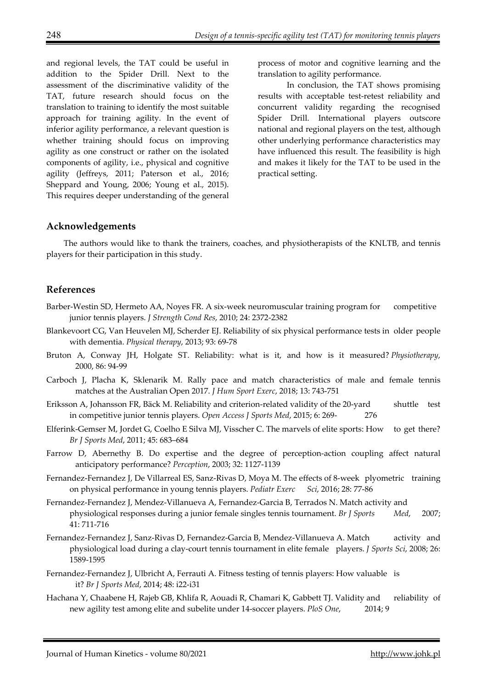and regional levels, the TAT could be useful in addition to the Spider Drill. Next to the assessment of the discriminative validity of the TAT, future research should focus on the translation to training to identify the most suitable approach for training agility. In the event of inferior agility performance, a relevant question is whether training should focus on improving agility as one construct or rather on the isolated components of agility, i.e., physical and cognitive agility (Jeffreys, 2011; Paterson et al., 2016; Sheppard and Young, 2006; Young et al., 2015). This requires deeper understanding of the general

process of motor and cognitive learning and the translation to agility performance.

In conclusion, the TAT shows promising results with acceptable test-retest reliability and concurrent validity regarding the recognised Spider Drill. International players outscore national and regional players on the test, although other underlying performance characteristics may have influenced this result. The feasibility is high and makes it likely for the TAT to be used in the practical setting.

#### **Acknowledgements**

The authors would like to thank the trainers, coaches, and physiotherapists of the KNLTB, and tennis players for their participation in this study.

## **References**

- Barber-Westin SD, Hermeto AA, Noyes FR. A six-week neuromuscular training program for competitive junior tennis players. *J Strength Cond Res*, 2010; 24: 2372-2382
- Blankevoort CG, Van Heuvelen MJ, Scherder EJ. Reliability of six physical performance tests in older people with dementia. *Physical therapy*, 2013; 93: 69-78
- Bruton A, Conway JH, Holgate ST. Reliability: what is it, and how is it measured? *Physiotherapy*, 2000, 86: 94-99
- Carboch J, Placha K, Sklenarik M. Rally pace and match characteristics of male and female tennis matches at the Australian Open 2017. *J Hum Sport Exerc*, 2018; 13: 743-751
- Eriksson A, Johansson FR, Bäck M. Reliability and criterion-related validity of the 20-yard shuttle test in competitive junior tennis players. *Open Access J Sports Med*, 2015; 6: 269- 276
- Elferink-Gemser M, Jordet G, Coelho E Silva MJ, Visscher C. The marvels of elite sports: How to get there? *Br J Sports Med*, 2011; 45: 683–684
- Farrow D, Abernethy B. Do expertise and the degree of perception-action coupling affect natural anticipatory performance? *Perception*, 2003; 32: 1127-1139
- Fernandez-Fernandez J, De Villarreal ES, Sanz-Rivas D, Moya M. The effects of 8-week plyometric training on physical performance in young tennis players. *Pediatr Exerc Sci*, 2016; 28: 77-86
- Fernandez-Fernandez J, Mendez-Villanueva A, Fernandez-Garcia B, Terrados N. Match activity and physiological responses during a junior female singles tennis tournament. *Br J Sports Med*, 2007; 41: 711-716
- Fernandez-Fernandez J, Sanz-Rivas D, Fernandez-Garcia B, Mendez-Villanueva A. Match activity and physiological load during a clay-court tennis tournament in elite female players. *J Sports Sci*, 2008; 26: 1589-1595
- Fernandez-Fernandez J, Ulbricht A, Ferrauti A. Fitness testing of tennis players: How valuable is it? *Br J Sports Med*, 2014; 48: i22-i31
- Hachana Y, Chaabene H, Rajeb GB, Khlifa R, Aouadi R, Chamari K, Gabbett TJ. Validity and reliability of new agility test among elite and subelite under 14-soccer players. *PloS One*, 2014; 9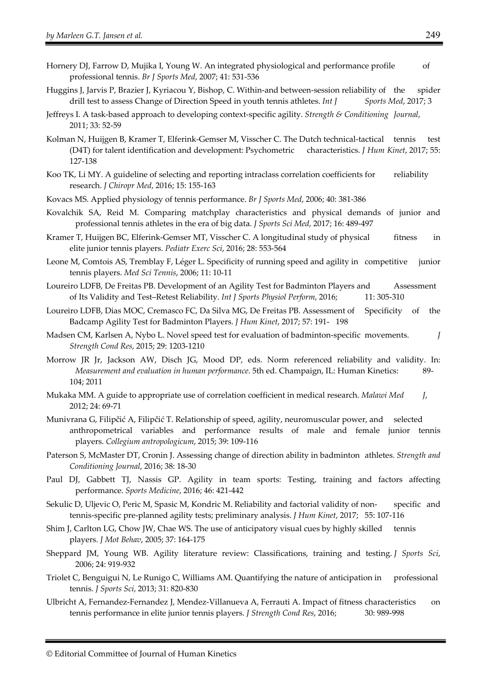- Hornery DJ, Farrow D, Mujika I, Young W. An integrated physiological and performance profile of professional tennis. *Br J Sports Med*, 2007; 41: 531-536
- Huggins J, Jarvis P, Brazier J, Kyriacou Y, Bishop, C. Within-and between-session reliability of the spider drill test to assess Change of Direction Speed in youth tennis athletes. *Int J* Sports Med, 2017; 3
- Jeffreys I. A task-based approach to developing context-specific agility. *Strength & Conditioning Journal*, 2011; 33: 52-59
- Kolman N, Huijgen B, Kramer T, Elferink-Gemser M, Visscher C. The Dutch technical-tactical tennis test (D4T) for talent identification and development: Psychometric characteristics. *J Hum Kinet*, 2017; 55: 127-138
- Koo TK, Li MY. A guideline of selecting and reporting intraclass correlation coefficients for reliability research. *J Chiropr Med*, 2016; 15: 155-163
- Kovacs MS. Applied physiology of tennis performance. *Br J Sports Med*, 2006; 40: 381-386
- Kovalchik SA, Reid M. Comparing matchplay characteristics and physical demands of junior and professional tennis athletes in the era of big data. *J Sports Sci Med*, 2017; 16: 489-497
- Kramer T, Huijgen BC, Elferink-Gemser MT, Visscher C. A longitudinal study of physical fitness in elite junior tennis players. *Pediatr Exerc Sci*, 2016; 28: 553-564
- Leone M, Comtois AS, Tremblay F, Léger L. Specificity of running speed and agility in competitive junior tennis players. *Med Sci Tennis*, 2006; 11: 10-11
- Loureiro LDFB, De Freitas PB. Development of an Agility Test for Badminton Players and Assessment of Its Validity and Test–Retest Reliability. *Int J Sports Physiol Perform*, 2016; 11: 305-310
- Loureiro LDFB, Dias MOC, Cremasco FC, Da Silva MG, De Freitas PB. Assessment of Specificity of the Badcamp Agility Test for Badminton Players. *J Hum Kinet*, 2017; 57: 191- 198
- Madsen CM, Karlsen A, Nybo L. Novel speed test for evaluation of badminton-specific movements. *J Strength Cond Res*, 2015; 29: 1203-1210
- Morrow JR Jr, Jackson AW, Disch JG, Mood DP, eds. Norm referenced reliability and validity. In: *Measurement and evaluation in human performance*. 5th ed. Champaign, IL: Human Kinetics: 89- 104; 2011
- Mukaka MM. A guide to appropriate use of correlation coefficient in medical research. *Malawi Med J*, 2012; 24: 69-71
- Munivrana G, Filipčić A, Filipčić T. Relationship of speed, agility, neuromuscular power, and selected anthropometrical variables and performance results of male and female junior tennis players. *Collegium antropologicum*, 2015; 39: 109-116
- Paterson S, McMaster DT, Cronin J. Assessing change of direction ability in badminton athletes. *Strength and Conditioning Journal*, 2016; 38: 18-30
- Paul DJ, Gabbett TJ, Nassis GP. Agility in team sports: Testing, training and factors affecting performance. *Sports Medicine*, 2016; 46: 421-442
- Sekulic D, Uljevic O, Peric M, Spasic M, Kondric M. Reliability and factorial validity of non- specific and tennis-specific pre-planned agility tests; preliminary analysis. *J Hum Kinet*, 2017; 55: 107-116
- Shim J, Carlton LG, Chow JW, Chae WS. The use of anticipatory visual cues by highly skilled tennis players. *J Mot Behav*, 2005; 37: 164-175
- Sheppard JM, Young WB. Agility literature review: Classifications, training and testing. *J Sports Sci*, 2006; 24: 919-932
- Triolet C, Benguigui N, Le Runigo C, Williams AM. Quantifying the nature of anticipation in professional tennis. *J Sports Sci*, 2013; 31: 820-830
- Ulbricht A, Fernandez-Fernandez J, Mendez-Villanueva A, Ferrauti A. Impact of fitness characteristics on tennis performance in elite junior tennis players. *J Strength Cond Res*, 2016; 30: 989-998